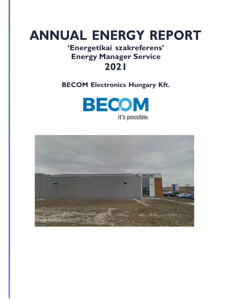# **ANNUAL ENERGY REPORT**

## **'Energetikai szakreferens' Energy Manager Service 2021**

**BECOM Electronics Hungary Kft.**



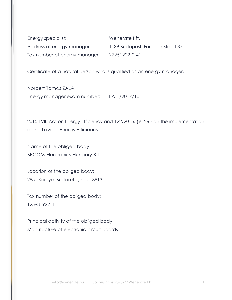Energy specialist: Wenerate Kft. Address of energy manager: 1139 Budapest, Forgách Street 37. Tax number of energy manager: 27951222-2-41

Certificate of a natural person who is qualified as an energy manager,

Norbert Tamás ZALAI Energy manager exam number: EA-1/2017/10

2015 LVII. Act on Energy Efficiency and 122/2015. (V. 26.) on the implementation of the Law on Energy Efficiency

Name of the obliged body: BECOM Electronics Hungary Kft.

Location of the obliged body: 2851 Környe, Budai út 1, hrsz.: 3813.

Tax number of the obliged body: 12593192211

Principal activity of the obliged body: Manufacture of electronic circuit boards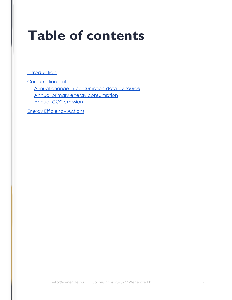# **Table of contents**

**Introduction** 

Consumption data Annual change in consumption data by source Annual primary energy consumption Annual CO2 emission

Energy Efficiency Actions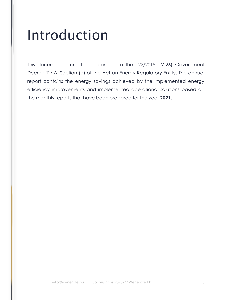# Introduction

This document is created according to the 122/2015. (V.26) Government Decree 7 / A. Section (e) of the Act on Energy Regulatory Entity. The annual report contains the energy savings achieved by the implemented energy efficiency improvements and implemented operational solutions based on the monthly reports that have been prepared for the year **2021**.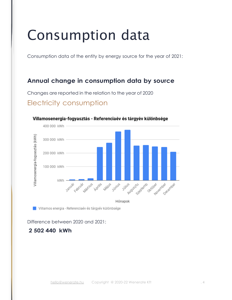# Consumption data

Consumption data of the entity by energy source for the year of 2021:

### **Annual change in consumption data by source**

Changes are reported in the relation to the year of 2020

### Electricity consumption



#### Villamosenergia-fogyasztás - Referenciaév és tárgyév különbsége

Villamos energia - Referenciaév és tárgyév különbsége

Difference between 2020 and 2021:

### **2 502 440 kWh**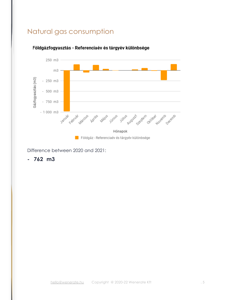## Natural gas consumption



#### Földgázfogyasztás - Referenciaév és tárgyév különbsége

Difference between 2020 and 2021:

**- 762 m3**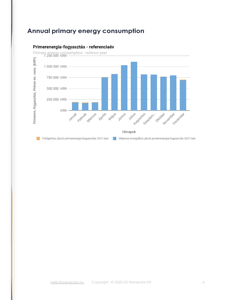## **Annual primary energy consumption**



#### Primerenergia-fogyasztás - referenciaév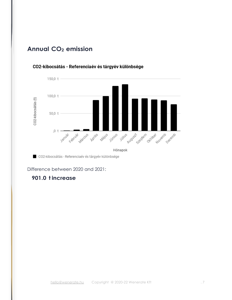### **Annual CO<sup>2</sup> emission**



#### CO2-kibocsátás - Referenciaév és tárgyév különbsége

CO2-kibocsátás - Referenciaév és tárgyév különbsége

Difference between 2020 and 2021:

### **901.0 t increase**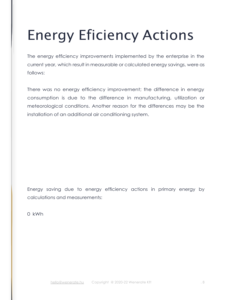# Energy Eficiency Actions

The energy efficiency improvements implemented by the enterprise in the current year, which result in measurable or calculated energy savings, were as follows:

There was no energy efficiency improvement; the difference in energy consumption is due to the difference in manufacturing, utilization or meteorological conditions. Another reason for the differences may be the installation of an additional air conditioning system.

Energy saving due to energy efficiency actions in primary energy by calculations and measurements:

0 kWh